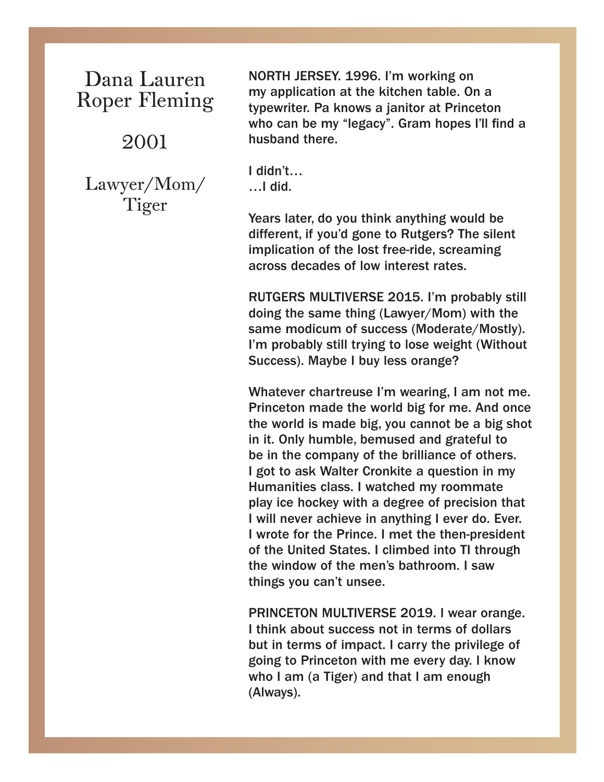### Dana Lauren Roper Fleming

#### 2001

Lawyer/Mom/ Tiger

NORTH JERSEY. 1996. I'm working on my application at the kitchen table. On a typewriter. Pa knows a janitor at Princeton who can be my "legacy". Gram hopes I'll find a husband there.

I didn't… …I did.

Years later, do you think anything would be different, if you'd gone to Rutgers? The silent implication of the lost free-ride, screaming across decades of low interest rates.

RUTGERS MULTIVERSE 2015. I'm probably still doing the same thing (Lawyer/Mom) with the same modicum of success (Moderate/Mostly). I'm probably still trying to lose weight (Without Success). Maybe I buy less orange?

Whatever chartreuse I'm wearing, I am not me. Princeton made the world big for me. And once the world is made big, you cannot be a big shot in it. Only humble, bemused and grateful to be in the company of the brilliance of others. I got to ask Walter Cronkite a question in my Humanities class. I watched my roommate play ice hockey with a degree of precision that I will never achieve in anything I ever do. Ever. I wrote for the Prince. I met the then-president of the United States. I climbed into TI through the window of the men's bathroom. I saw things you can't unsee.

PRINCETON MULTIVERSE 2019. I wear orange. I think about success not in terms of dollars but in terms of impact. I carry the privilege of going to Princeton with me every day. I know who I am (a Tiger) and that I am enough (Always).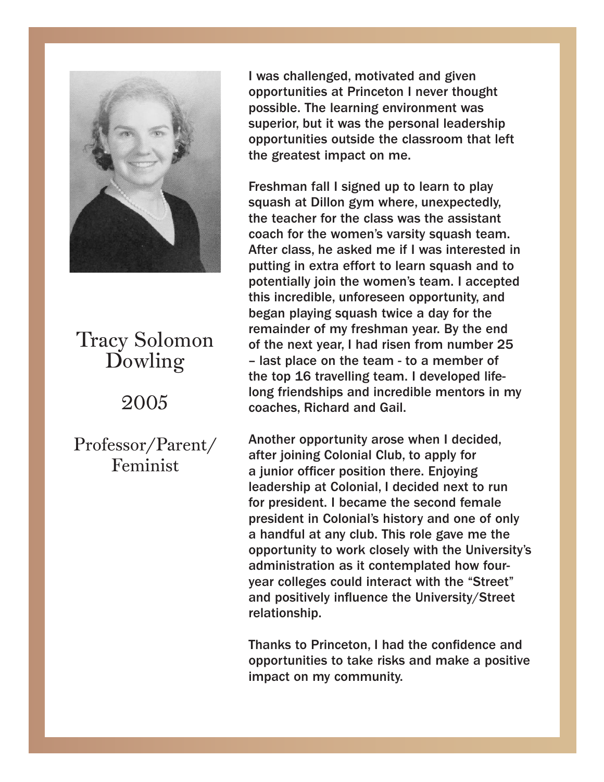

### Dowling Tracy Solomon

## Dowling 2005

 $\overline{2}$ Professor/Parent/ Feminist

I was challenged, motivated and given I was challenged, motivated and given opportunities at Princeton I never thought opportunities at Princeton I never thought possible. The learning environment was possible. The learning environment was superior, but it was the personal leadership superior, but it was the personal leadership opportunities outside the classroom that left opportunities outside the classroom that left the greatest impact on me. the greatest impact on me.

Freshman fall I signed up to learn to play squash at Dillon gym where, unexpectedly, equash at Dillon gym misrc, unexpectedly, the teacher for the class was the assistant me coach for the was the assessed the assessment coach for the women's varsity squash team. After class, he asked me if I was interested in putting in extra effort to learn squash and to potentially join the women's team. I accepted this incredible, unforeseen opportunity, and began playing squash twice a day for the remainder of my freshman year. By the end<br>ref the rest mass his day from my phase of the rest of the rest of the state of the state of the state of the the flext year, I had fised from number 25  $\sim$ - last place on the team - to a member of<br>the top 16 travelling team. I developed life $t_{\rm{top}}$  is the top 16 travelling to all incredible mentors in my the coaches, Richard and Gail. incredible mentors in my coaches, Richard and Freshman fall I signed up to learn to play of the next year, I had risen from number 25 – last place on the team - to a member of

Another opportunity arose when I decided, a junior officer position there. Enjoying leadership at Colonial, I decided next to run for president. I became the second female esident in Colonials history and one of only<br>bendful et env elub. This releases me the a handrul at any club. This fole gave the the<br>opportunity to work closely with the University's opportantly to work closely with the entroleity of administration as it contemplated how fouryear colleges could interact with the "Street" **and positively influence the University/Street** relationship. after joining Colonial Club, to apply for president in Colonial's history and one of only a handful at any club. This role gave me the

Thanks to Princeton, I had the confidence and  $\blacksquare$ impact on my community. opportunities to take risks and make a positive

opportunities to take risks and make a positive